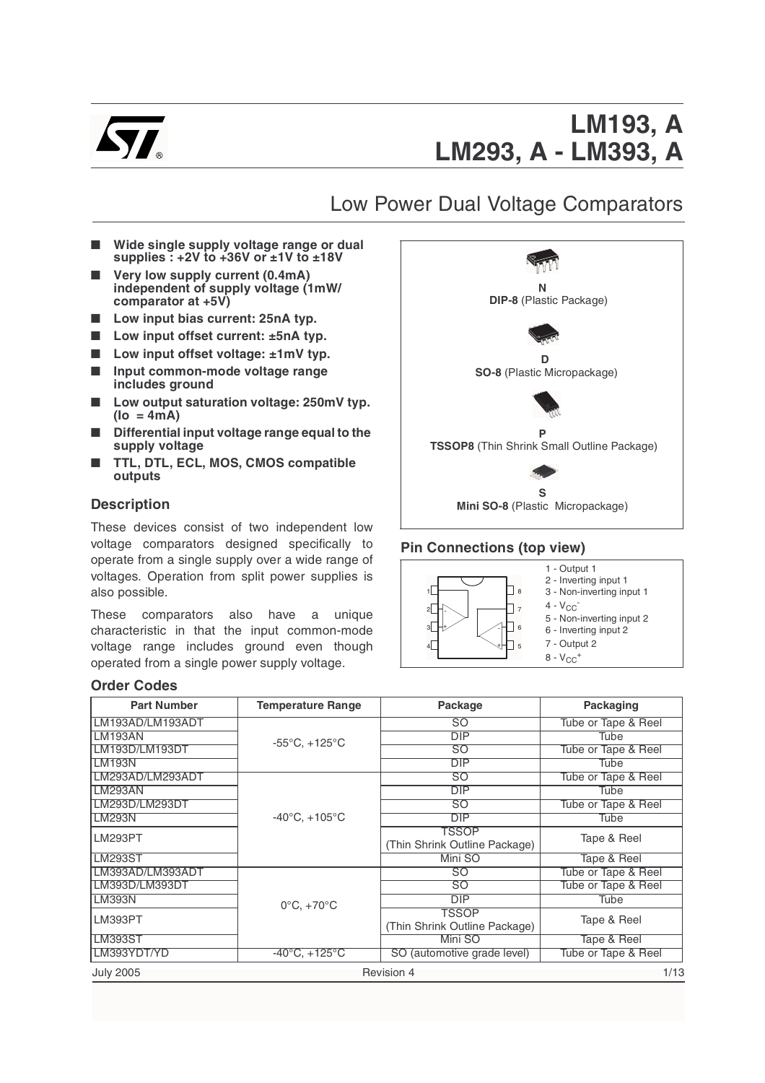

# Low Power Dual Voltage Comparators

- **Wide single supply voltage range or dual supplies : +2V to +36V or ±1V to ±18V**
- **Very low supply current (0.4mA) independent of supply voltage (1mW/ comparator at +5V)**
- Low input bias current: 25nA typ.
- Low input offset current: ±5nA typ.
- Low input offset voltage: ±1mV typ.
- **Input common-mode voltage range includes ground**
- Low output saturation voltage: 250mV typ. **(Io = 4mA)**
- **Differential input voltage range equal to the supply voltage**
- **TTL, DTL, ECL, MOS, CMOS compatible outputs**

### **Description**

These devices consist of two independent low voltage comparators designed specifically to operate from a single supply over a wide range of voltages. Operation from split power supplies is also possible.

These comparators also have a unique characteristic in that the input common-mode voltage range includes ground even though operated from a single power supply voltage.

### **Order Codes**



### **Pin Connections (top view)**



| <b>Part Number</b> | <b>Temperature Range</b>          | Package                       | Packaging           |
|--------------------|-----------------------------------|-------------------------------|---------------------|
| LM193AD/LM193ADT   |                                   | SO.                           | Tube or Tape & Reel |
| LM193AN            | $-55^{\circ}$ C, $+125^{\circ}$ C | <b>DIP</b>                    | Tube                |
| LM193D/LM193DT     |                                   | SO                            | Tube or Tape & Reel |
| LM193N             |                                   | <b>DIP</b>                    | Tube                |
| LM293AD/LM293ADT   |                                   | SO.                           | Tube or Tape & Reel |
| <b>LM293AN</b>     |                                   | <b>DIP</b>                    | Tube                |
| LM293D/LM293DT     |                                   | SO                            | Tube or Tape & Reel |
| <b>LM293N</b>      | $-40^{\circ}$ C, $+105^{\circ}$ C | DIP                           | Tube                |
| <b>LM293PT</b>     |                                   | TSSOP                         | Tape & Reel         |
|                    |                                   | (Thin Shrink Outline Package) |                     |
| <b>LM293ST</b>     |                                   | Mini SO                       | Tape & Reel         |
| LM393AD/LM393ADT   |                                   | SO                            | Tube or Tape & Reel |
| LM393D/LM393DT     |                                   | SO                            | Tube or Tape & Reel |
| <b>LM393N</b>      | $0^{\circ}$ C, $+70^{\circ}$ C    | DIP                           | Tube                |
| LM393PT            |                                   | TSSOP                         | Tape & Reel         |
|                    |                                   | (Thin Shrink Outline Package) |                     |
| <b>LM393ST</b>     |                                   | Mini SO                       | Tape & Reel         |
| LM393YDT/YD        | $-40^{\circ}$ C, $+125^{\circ}$ C | SO (automotive grade level)   | Tube or Tape & Reel |
| <b>July 2005</b>   |                                   | Revision 4                    | 1/13                |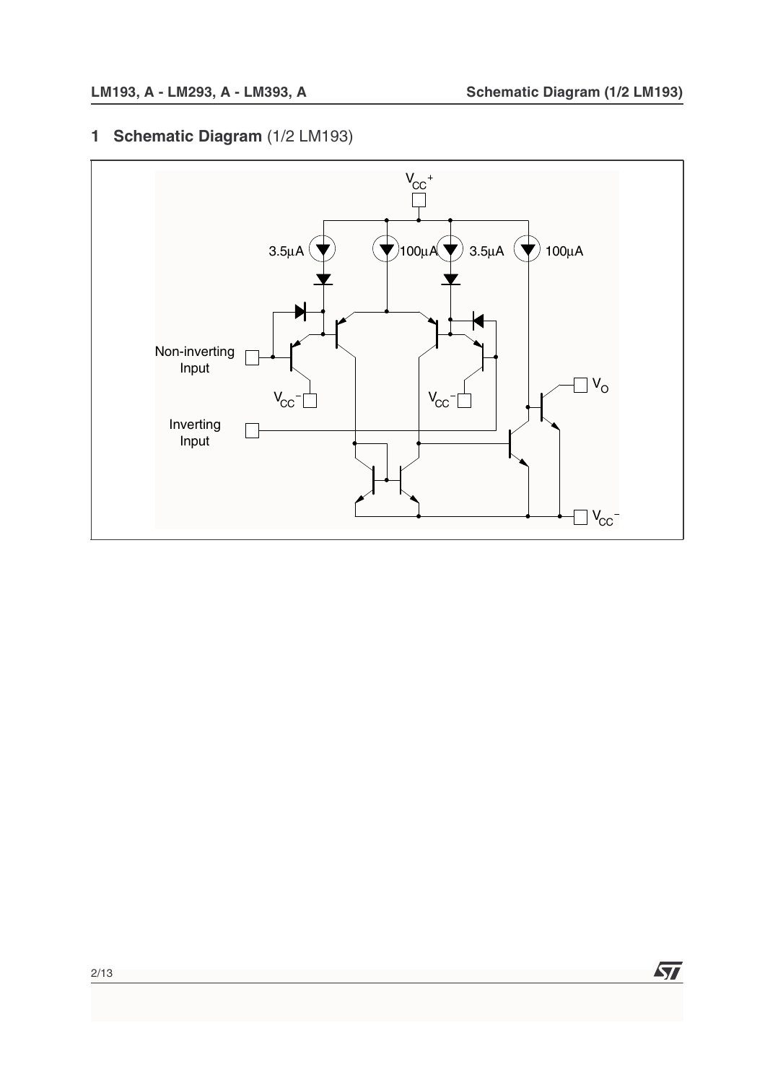**1 Schematic Diagram** (1/2 LM193)

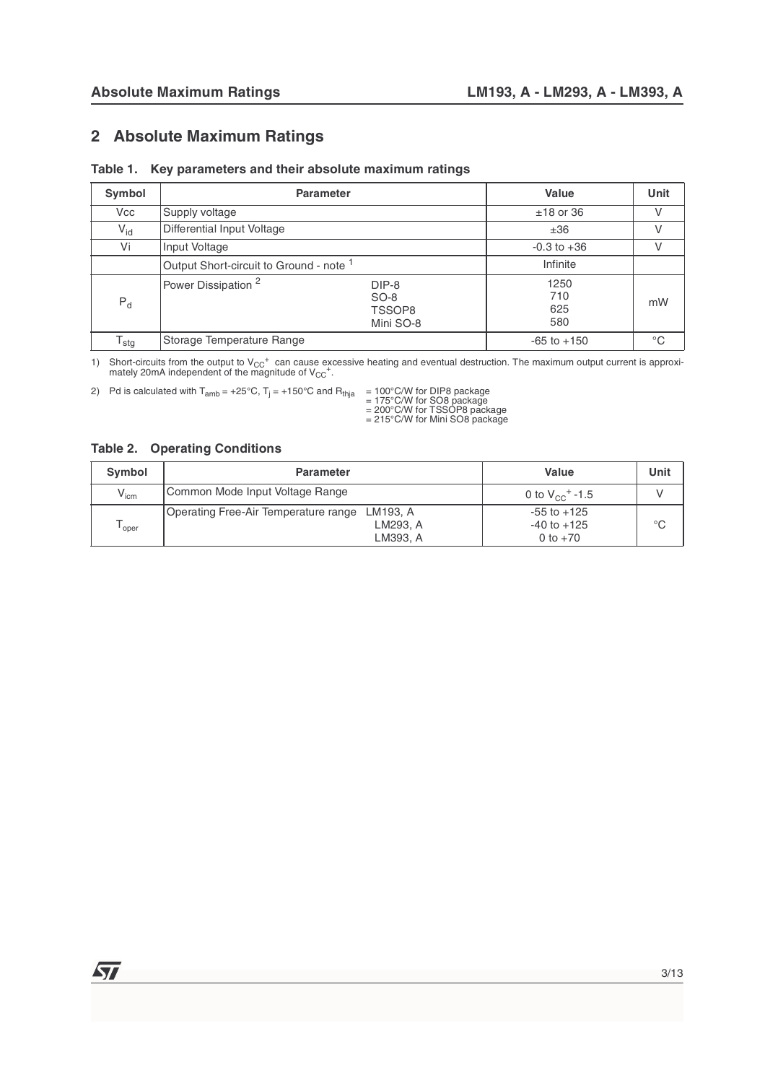### **2 Absolute Maximum Ratings**

| Table 1. Key parameters and their absolute maximum ratings |  |  |  |  |  |
|------------------------------------------------------------|--|--|--|--|--|
|------------------------------------------------------------|--|--|--|--|--|

| <b>Symbol</b>    | <b>Parameter</b>                                   | Value                                  | Unit                      |    |
|------------------|----------------------------------------------------|----------------------------------------|---------------------------|----|
| <b>Vcc</b>       | Supply voltage                                     | $±18$ or 36                            |                           |    |
| $V_{\text{id}}$  | Differential Input Voltage                         | ±36                                    |                           |    |
| Vi               | Input Voltage                                      | $-0.3$ to $+36$                        | V                         |    |
|                  | Output Short-circuit to Ground - note <sup>1</sup> | Infinite                               |                           |    |
| $P_d$            | Power Dissipation <sup>2</sup>                     | DIP-8<br>$SO-8$<br>TSSOP8<br>Mini SO-8 | 1250<br>710<br>625<br>580 | mW |
| $T_{\text{stg}}$ | Storage Temperature Range                          |                                        | $-65$ to $+150$           | °C |

1) Short-circuits from the output to  $V_{CC}^+$  can cause excessive heating and eventual destruction. The maximum output current is approximately 20mA independent of the magnitude of  $V_{CC}^+$ .

2) Pd is calculated with T<sub>amb</sub> = +25°C, T<sub>j</sub> = +150°C and R<sub>thja</sub> = 100°C/W for DIP8 package<br>= 175°C/W for SO8 package<br>= 200°C/W for TSSOP8 package

= 215°C/W for Mini SO8 package

#### **Table 2. Operating Conditions**

| Symbol            | <b>Parameter</b>                              | Value                               | Unit        |
|-------------------|-----------------------------------------------|-------------------------------------|-------------|
| $V_{\text{icm}}$  | Common Mode Input Voltage Range               | 0 to $V_{\rm CC}$ <sup>+</sup> -1.5 |             |
|                   | Operating Free-Air Temperature range LM193, A | $-55$ to $+125$                     |             |
| <sup>l</sup> oper | LM293. A                                      | $-40$ to $+125$                     | $^{\circ}C$ |
|                   | LM393, A                                      | 0 to $+70$                          |             |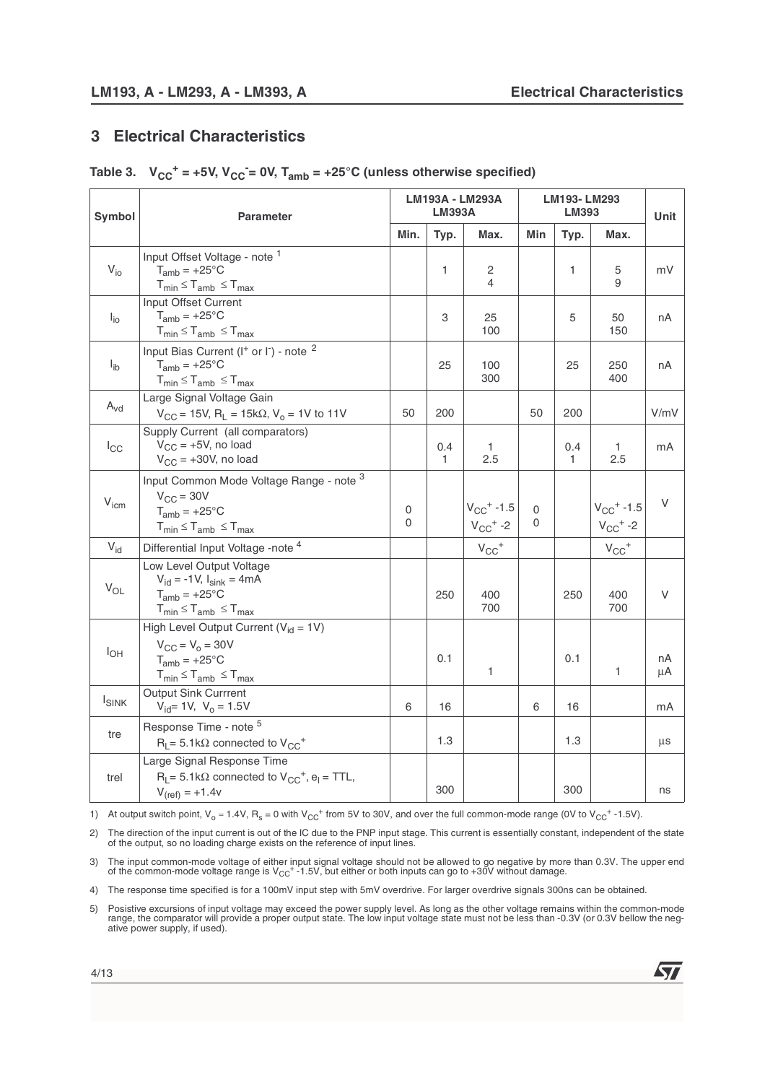### **3 Electrical Characteristics**

|  |  |  |  | Table 3. $V_{CC}^+$ = +5V, $V_{CC}^-$ = 0V, $T_{amb}$ = +25°C (unless otherwise specified) |  |
|--|--|--|--|--------------------------------------------------------------------------------------------|--|
|--|--|--|--|--------------------------------------------------------------------------------------------|--|

| Symbol                     | <b>Parameter</b>                                                                                                                               | LM193A - LM293A<br><b>LM393A</b> |                     |                                                        | LM193-LM293<br><b>LM393</b> |                     |                                                        | Unit     |
|----------------------------|------------------------------------------------------------------------------------------------------------------------------------------------|----------------------------------|---------------------|--------------------------------------------------------|-----------------------------|---------------------|--------------------------------------------------------|----------|
|                            |                                                                                                                                                | Min.                             | Typ.                | Max.                                                   | Min                         | Typ.                | Max.                                                   |          |
| $V_{i0}$                   | Input Offset Voltage - note 1<br>$T_{amb} = +25^{\circ}C$<br>$T_{min} \leq T_{amb} \leq T_{max}$                                               |                                  | 1                   | 2<br>4                                                 |                             | 1                   | 5<br>9                                                 | mV       |
| $I_{\text{io}}$            | Input Offset Current<br>$T_{amb} = +25^{\circ}C$<br>$T_{min} \leq T_{amb} \leq T_{max}$                                                        |                                  | 3                   | 25<br>100                                              |                             | 5                   | 50<br>150                                              | nA       |
| $I_{\text{ib}}$            | Input Bias Current (I <sup>+</sup> or I <sup>-</sup> ) - note <sup>2</sup><br>$T_{amb} = +25^{\circ}C$<br>$T_{min} \leq T_{amb} \leq T_{max}$  |                                  | 25                  | 100<br>300                                             |                             | 25                  | 250<br>400                                             | nA       |
| $\mathsf{A}_{\mathsf{vd}}$ | Large Signal Voltage Gain<br>$V_{CC}$ = 15V, R <sub>L</sub> = 15k $\Omega$ , V <sub>o</sub> = 1V to 11V                                        | 50                               | 200                 |                                                        | 50                          | 200                 |                                                        | V/mV     |
| $I_{\rm CC}$               | Supply Current (all comparators)<br>$V_{CC}$ = +5V, no load<br>$V_{CC}$ = +30V, no load                                                        |                                  | 0.4<br>$\mathbf{1}$ | $\mathbf{1}$<br>2.5                                    |                             | 0.4<br>$\mathbf{1}$ | $\mathbf{1}$<br>2.5                                    | mA       |
| V <sub>icm</sub>           | Input Common Mode Voltage Range - note 3<br>$V_{CC}$ = 30V<br>$T_{amb} = +25^{\circ}C$<br>$T_{min} \leq T_{amb} \leq T_{max}$                  | 0<br>0                           |                     | $V_{CC}$ <sup>+</sup> -1.5<br>$V_{CC}$ <sup>+</sup> -2 | 0<br>0                      |                     | $V_{CC}$ <sup>+</sup> -1.5<br>$V_{CC}$ <sup>+</sup> -2 | $\vee$   |
| $V_{\text{id}}$            | Differential Input Voltage -note <sup>4</sup>                                                                                                  |                                  |                     | $V_{CC}$ <sup>+</sup>                                  |                             |                     | $V_{CC}$ <sup>+</sup>                                  |          |
| $V_{OL}$                   | Low Level Output Voltage<br>$V_{\text{id}} = -1V$ , $I_{\text{sink}} = 4mA$<br>$T_{amb} = +25^{\circ}C$<br>$T_{min} \leq T_{amb} \leq T_{max}$ |                                  | 250                 | 400<br>700                                             |                             | 250                 | 400<br>700                                             | V        |
| $I_{OH}$                   | High Level Output Current ( $V_{id} = 1V$ )<br>$V_{CC} = V_0 = 30V$<br>$T_{amb} = +25^{\circ}C$<br>$T_{min} \leq T_{amb} \leq T_{max}$         |                                  | 0.1                 | 1                                                      |                             | 0.1                 | 1                                                      | nA<br>μA |
| <b>ISINK</b>               | <b>Output Sink Currrent</b><br>$V_{\text{id}}$ = 1V, $V_{\text{o}}$ = 1.5V                                                                     | 6                                | 16                  |                                                        | 6                           | 16                  |                                                        | mA       |
| tre                        | Response Time - note 5<br>$R_1 = 5.1 k\Omega$ connected to $V_{CC}^+$                                                                          |                                  | 1.3                 |                                                        |                             | 1.3                 |                                                        | μs       |
| trel                       | Large Signal Response Time<br>$R_L$ = 5.1k $\Omega$ connected to $V_{CC}^+$ , $e_l$ = TTL,<br>$V_{(ref)} = +1.4v$                              |                                  | 300                 |                                                        |                             | 300                 |                                                        | ns       |

1) At output switch point,  $V_0 \approx 1.4V$ ,  $R_s = 0$  with  $V_{CC}^+$  from 5V to 30V, and over the full common-mode range (0V to  $V_{CC}^+$  -1.5V).

2) The direction of the input current is out of the IC due to the PNP input stage. This current is essentially constant, independent of the state of the output, so no loading charge exists on the reference of input lines.

3) The input common-mode voltage of either input signal voltage should not be allowed to go negative by more than 0.3V. The upper end<br>of the common-mode voltage range is V<sub>CC</sub><sup>+</sup> -1.5V, but either or both inputs can go to

4) The response time specified is for a 100mV input step with 5mV overdrive. For larger overdrive signals 300ns can be obtained.

5) Posistive excursions of input voltage may exceed the power supply level. As long as the other voltage remains within the common-mode range, the comparator will provide a proper output state. The low input voltage state must not be less than -0.3V (or 0.3V bellow the negative power supply, if used).

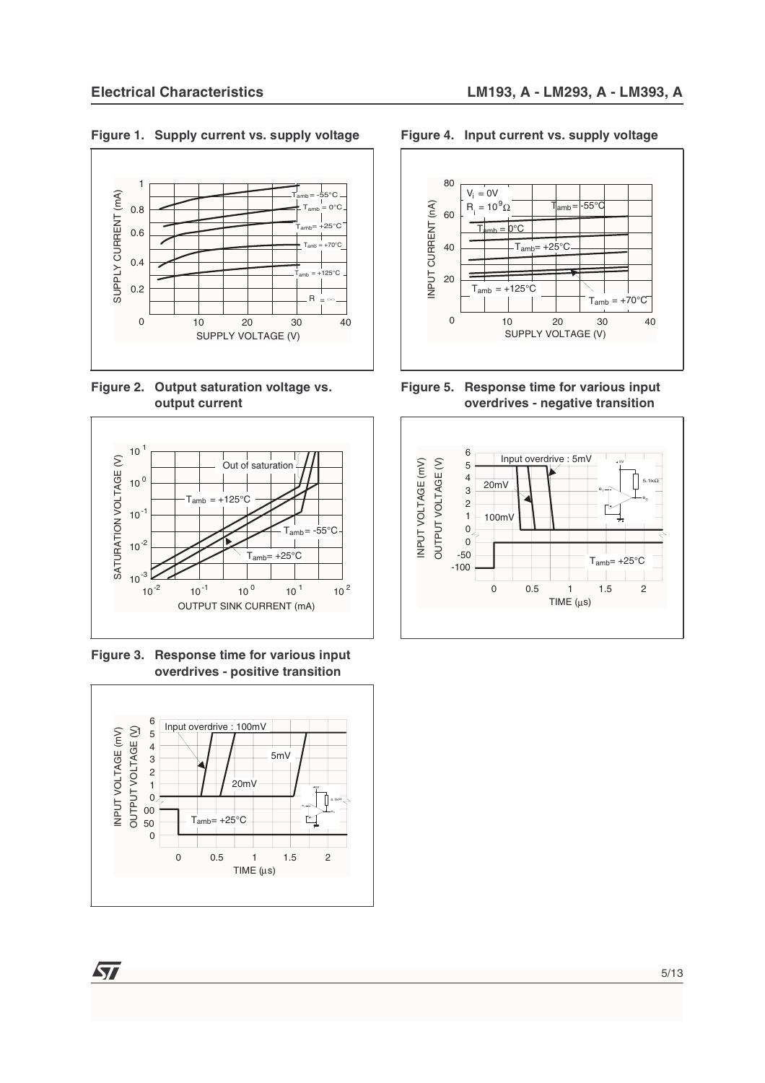#### **Figure 1. Supply current vs. supply voltage**



**Figure 2. Output saturation voltage vs. output current**



**Figure 3. Response time for various input overdrives - positive transition** 



477

#### **Figure 4. Input current vs. supply voltage**



**Figure 5. Response time for various input overdrives - negative transition**

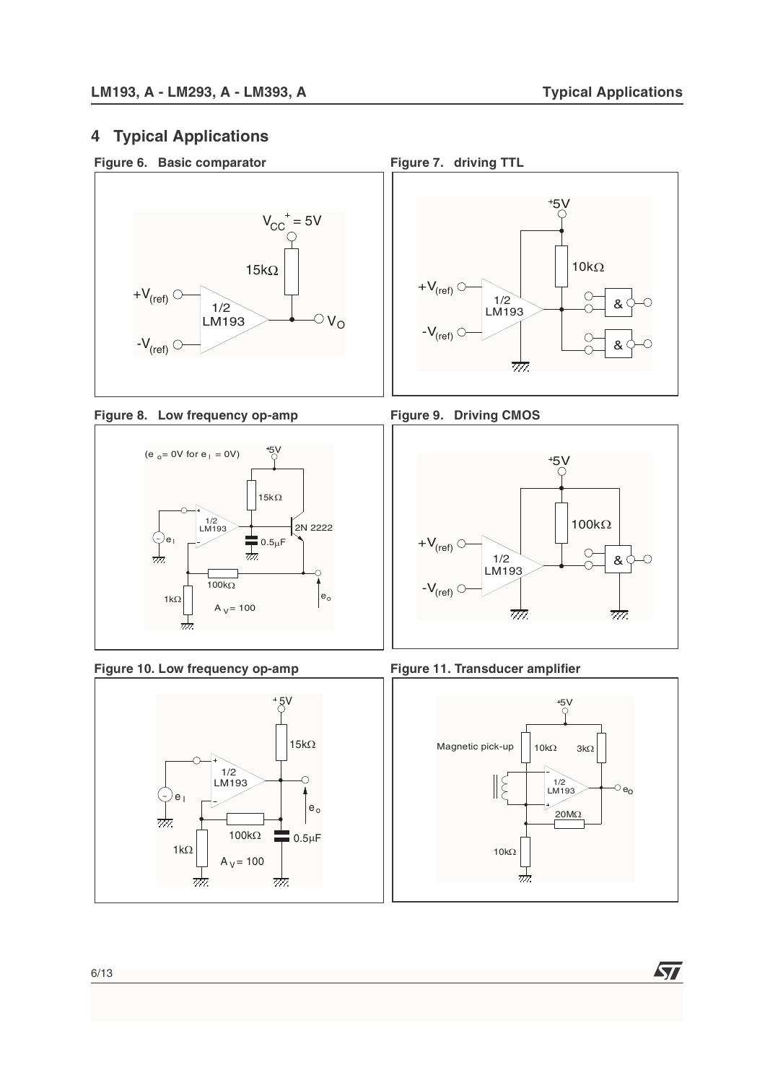# **4 Typical Applications**





Figure 8. Low frequency op-amp Figure 9. Driving CMOS















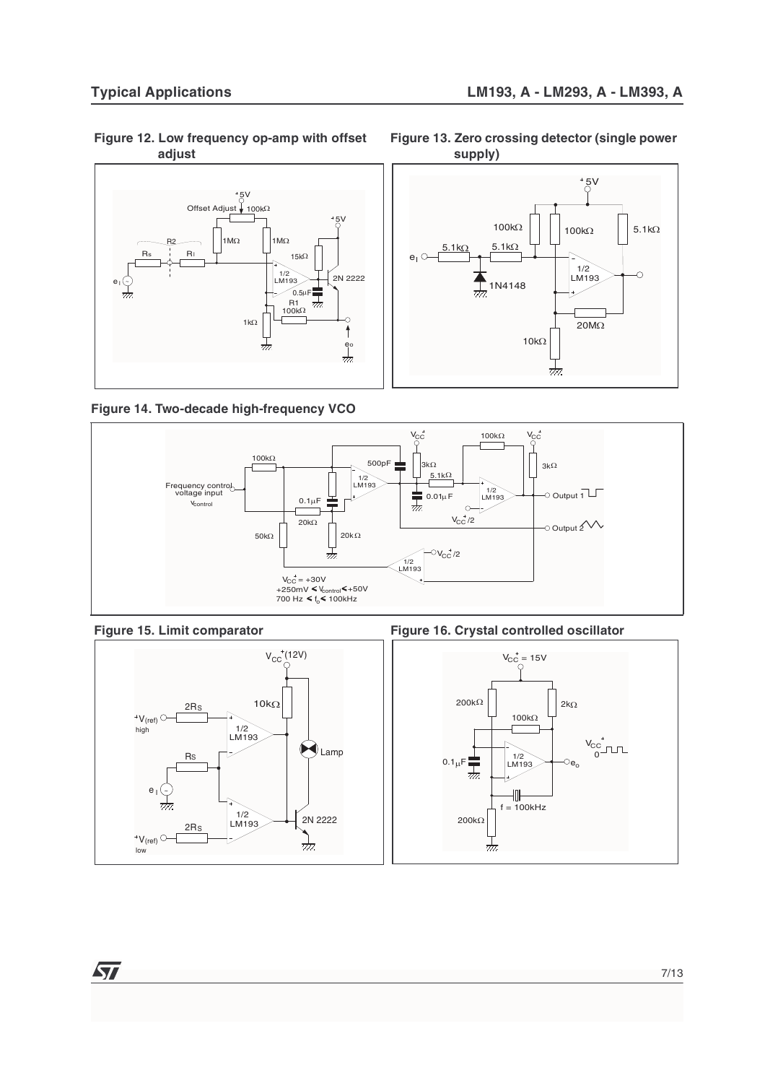**Figure 12. Low frequency op-amp with offset adjust**



**Figure 14. Two-decade high-frequency VCO**







Figure 15. Limit comparator **Figure 16. Crystal controlled oscillator** 



7/13

**Figure 13. Zero crossing detector (single power supply)**

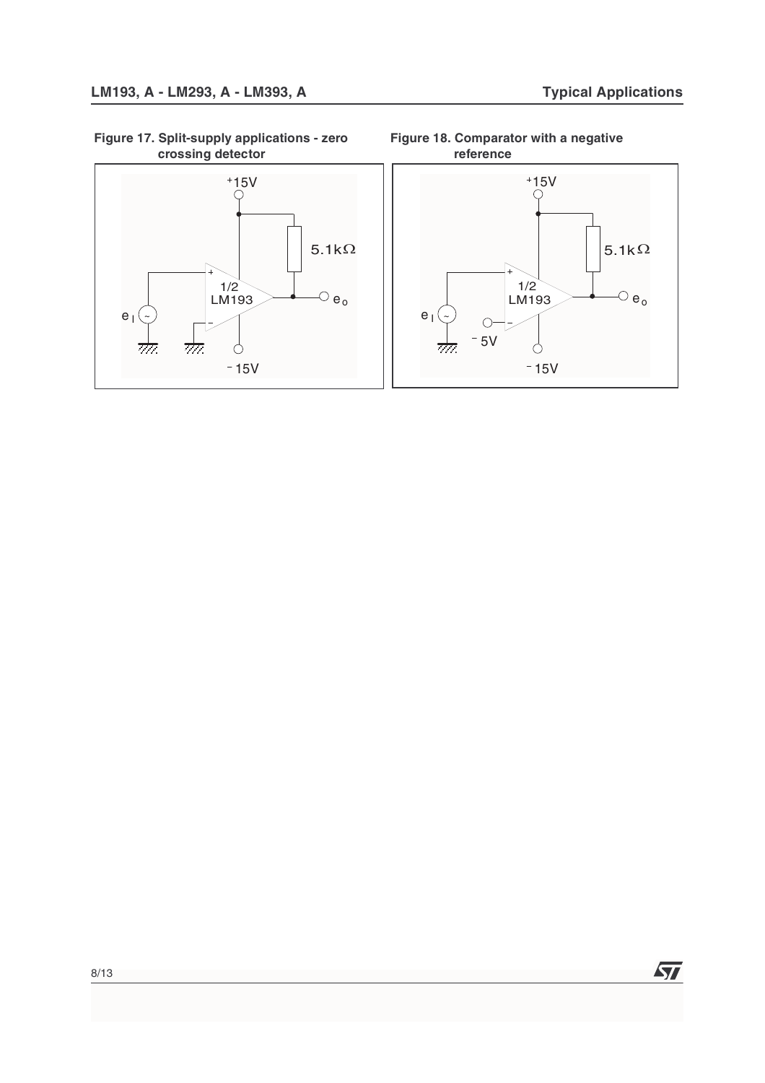**Figure 17. Split-supply applications - zero crossing detector**



**Figure 18. Comparator with a negative reference**

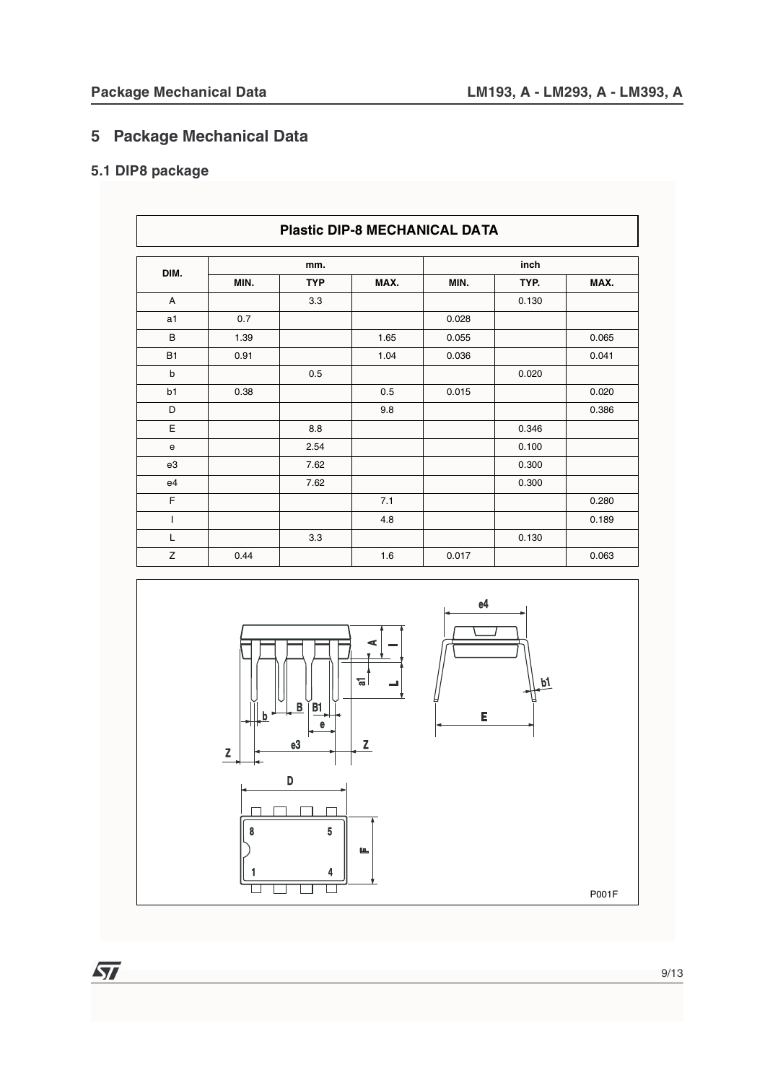# **5 Package Mechanical Data**

# **5.1 DIP8 package**

|           | <b>Plastic DIP-8 MECHANICAL DATA</b> |            |      |       |       |       |
|-----------|--------------------------------------|------------|------|-------|-------|-------|
| DIM.      |                                      | mm.        |      |       | inch  |       |
|           | MIN.                                 | <b>TYP</b> | MAX. | MIN.  | TYP.  | MAX.  |
| A         |                                      | 3.3        |      |       | 0.130 |       |
| a1        | 0.7                                  |            |      | 0.028 |       |       |
| B         | 1.39                                 |            | 1.65 | 0.055 |       | 0.065 |
| <b>B1</b> | 0.91                                 |            | 1.04 | 0.036 |       | 0.041 |
| b         |                                      | 0.5        |      |       | 0.020 |       |
| b1        | 0.38                                 |            | 0.5  | 0.015 |       | 0.020 |
| D         |                                      |            | 9.8  |       |       | 0.386 |
| E         |                                      | 8.8        |      |       | 0.346 |       |
| e         |                                      | 2.54       |      |       | 0.100 |       |
| e3        |                                      | 7.62       |      |       | 0.300 |       |
| e4        |                                      | 7.62       |      |       | 0.300 |       |
| F         |                                      |            | 7.1  |       |       | 0.280 |
| T         |                                      |            | 4.8  |       |       | 0.189 |
| L         |                                      | 3.3        |      |       | 0.130 |       |
| Z         | 0.44                                 |            | 1.6  | 0.017 |       | 0.063 |

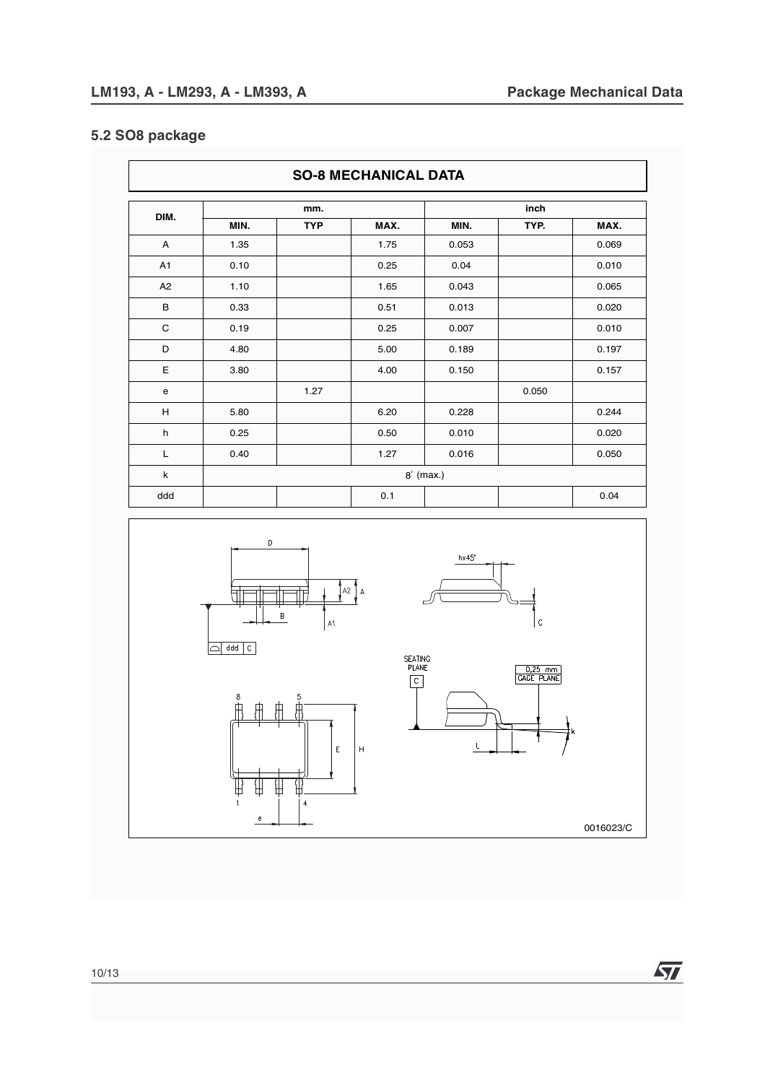# **5.2 SO8 package**

|                | <b>SO-8 MECHANICAL DATA</b> |            |      |                  |       |       |
|----------------|-----------------------------|------------|------|------------------|-------|-------|
|                |                             | mm.        |      |                  | inch  |       |
| DIM.           | MIN.                        | <b>TYP</b> | MAX. | MIN.             | TYP.  | MAX.  |
| A              | 1.35                        |            | 1.75 | 0.053            |       | 0.069 |
| A <sub>1</sub> | 0.10                        |            | 0.25 | 0.04             |       | 0.010 |
| A <sub>2</sub> | 1.10                        |            | 1.65 | 0.043            |       | 0.065 |
| В              | 0.33                        |            | 0.51 | 0.013            |       | 0.020 |
| $\mathsf{C}$   | 0.19                        |            | 0.25 | 0.007            |       | 0.010 |
| D              | 4.80                        |            | 5.00 | 0.189            |       | 0.197 |
| E              | 3.80                        |            | 4.00 | 0.150            |       | 0.157 |
| e              |                             | 1.27       |      |                  | 0.050 |       |
| Н              | 5.80                        |            | 6.20 | 0.228            |       | 0.244 |
| h              | 0.25                        |            | 0.50 | 0.010            |       | 0.020 |
| L              | 0.40                        |            | 1.27 | 0.016            |       | 0.050 |
| k              |                             |            |      | $8^\circ$ (max.) |       |       |
| ddd            |                             |            | 0.1  |                  |       | 0.04  |



0016023/C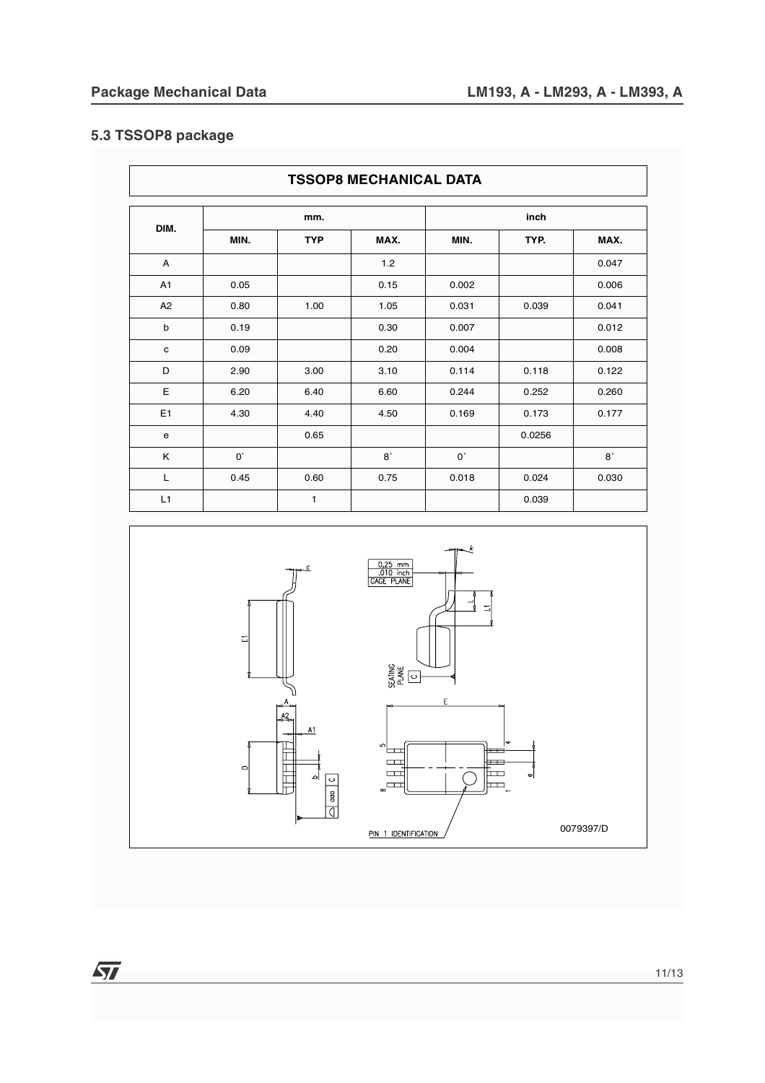### **5.3 TSSOP8 package**

|                | <b>TSSOP8 MECHANICAL DATA</b> |              |           |             |        |             |  |
|----------------|-------------------------------|--------------|-----------|-------------|--------|-------------|--|
| DIM.           |                               |              |           |             | inch   |             |  |
|                | MIN.                          | <b>TYP</b>   | MAX.      | MIN.        | TYP.   | MAX.        |  |
| A              |                               |              | $1.2$     |             |        | 0.047       |  |
| A <sub>1</sub> | 0.05                          |              | 0.15      | 0.002       |        | 0.006       |  |
| A2             | 0.80                          | 1.00         | 1.05      | 0.031       | 0.039  | 0.041       |  |
| $\mathsf b$    | 0.19                          |              | 0.30      | 0.007       |        | 0.012       |  |
| $\mathbf c$    | 0.09                          |              | 0.20      | 0.004       |        | 0.008       |  |
| D              | 2.90                          | 3.00         | 3.10      | 0.114       | 0.118  | 0.122       |  |
| Ε              | 6.20                          | 6.40         | 6.60      | 0.244       | 0.252  | 0.260       |  |
| E <sub>1</sub> | 4.30                          | 4.40         | 4.50      | 0.169       | 0.173  | 0.177       |  |
| e              |                               | 0.65         |           |             | 0.0256 |             |  |
| K              | $0^{\circ}$                   |              | $8^\circ$ | $0^{\circ}$ |        | $8^{\circ}$ |  |
| L              | 0.45                          | 0.60         | 0.75      | 0.018       | 0.024  | 0.030       |  |
| L1             |                               | $\mathbf{1}$ |           |             | 0.039  |             |  |

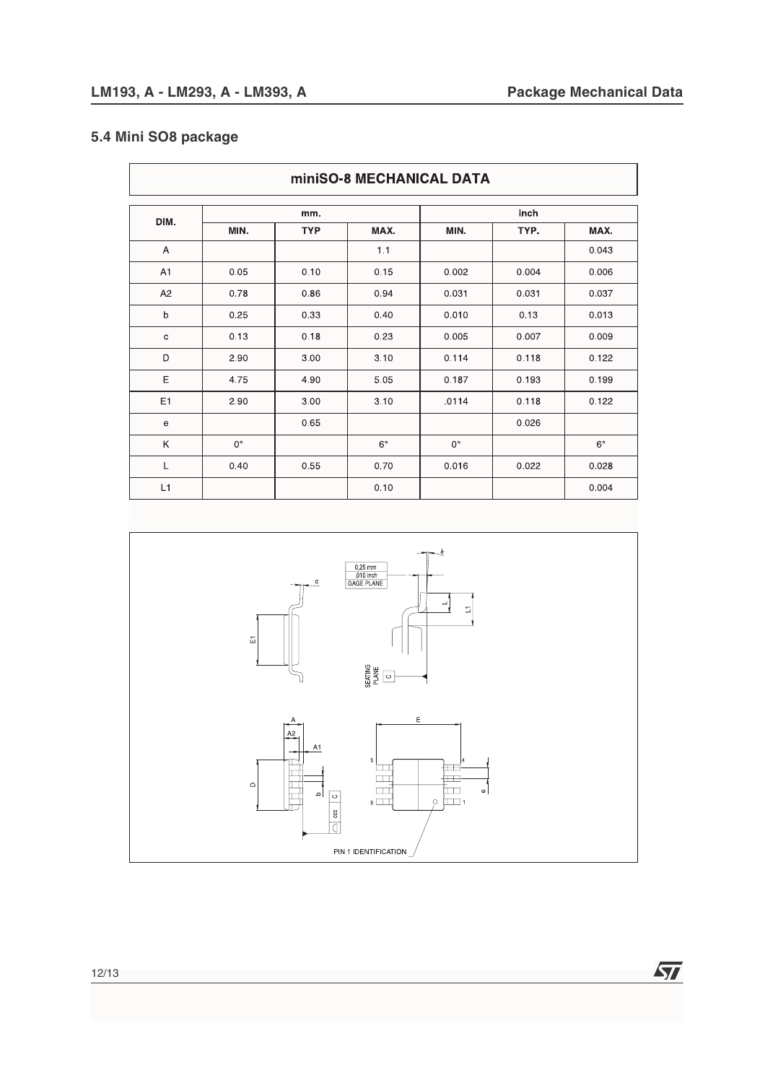57

### **5.4 Mini SO8 package**

| <b>miniSO-8 MECHANICAL DATA</b>            |             |            |             |             |       |             |
|--------------------------------------------|-------------|------------|-------------|-------------|-------|-------------|
|                                            |             | mm.        |             |             | inch  |             |
| DIM.                                       | MIN.        | <b>TYP</b> | MAX.        | MIN.        | TYP.  | MAX.        |
| A                                          |             |            | 1.1         |             |       | 0.043       |
| A <sub>1</sub>                             | 0.05        | 0.10       | 0.15        | 0.002       | 0.004 | 0.006       |
| A <sub>2</sub>                             | 0.78        | 0.86       | 0.94        | 0.031       | 0.031 | 0.037       |
| b                                          | 0.25        | 0.33       | 0.40        | 0.010       | 0.13  | 0.013       |
| $\mathbf C$                                | 0.13        | 0.18       | 0.23        | 0.005       | 0.007 | 0.009       |
| D                                          | 2.90        | 3.00       | 3.10        | 0.114       | 0.118 | 0.122       |
| E                                          | 4.75        | 4.90       | 5.05        | 0.187       | 0.193 | 0.199       |
| E1                                         | 2.90        | 3.00       | 3.10        | .0114       | 0.118 | 0.122       |
| $\mathsf{e}% _{0}\left( \mathsf{e}\right)$ |             | 0.65       |             |             | 0.026 |             |
| K                                          | $0^{\circ}$ |            | $6^{\circ}$ | $0^{\circ}$ |       | $6^{\circ}$ |
| Г                                          | 0.40        | 0.55       | 0.70        | 0.016       | 0.022 | 0.028       |
| L1                                         |             |            | 0.10        |             |       | 0.004       |